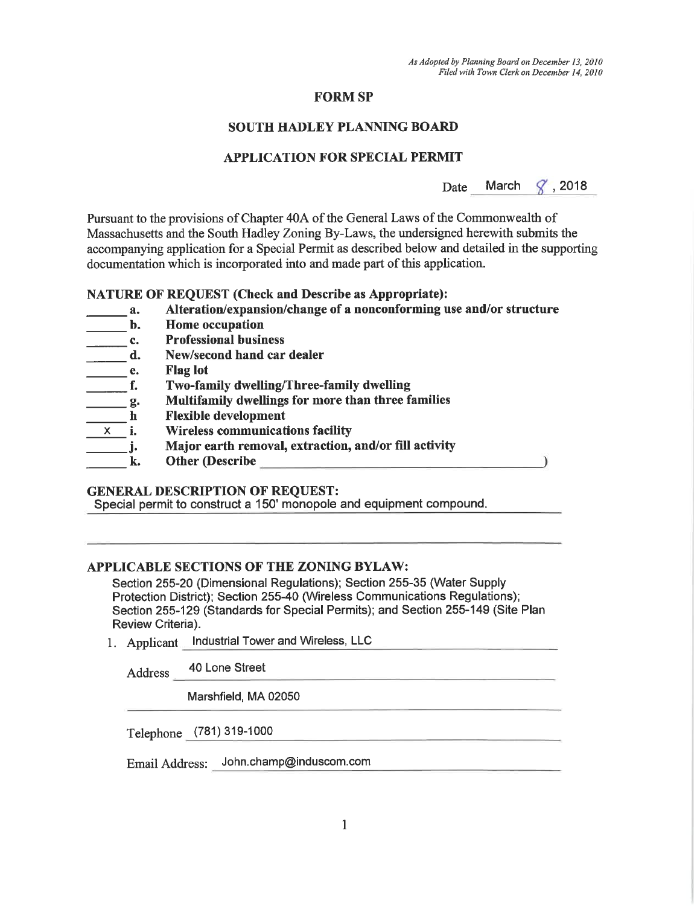# **FORM SP**

# **SOUTH HADLEY PLANNING BOARD**

# **APPLICATION FOR SPECIAL PERMIT**

March  $\sqrt{2}$ , 2018 Date

Pursuant to the provisions of Chapter 40A of the General Laws of the Commonwealth of Massachusetts and the South Hadley Zoning By-Laws, the undersigned herewith submits the accompanying application for a Special Permit as described below and detailed in the supporting documentation which is incorporated into and made part of this application.

#### **NATURE OF REQUEST (Check and Describe as Appropriate):**

- Alteration/expansion/change of a nonconforming use and/or structure a.
- **Home occupation** b.
- **Professional business** c.
- New/second hand car dealer d.
- **Flag lot** e.
- Two-family dwelling/Three-family dwelling f.
- Multifamily dwellings for more than three families  $\mathbf{g}$ .
- **Flexible development**  $\mathbf h$
- **Wireless communications facility**  $\mathbf{i}$ . X.
- Major earth removal, extraction, and/or fill activity j.
	- Other (Describe) k.

# **GENERAL DESCRIPTION OF REQUEST:**

Special permit to construct a 150' monopole and equipment compound.

### APPLICABLE SECTIONS OF THE ZONING BYLAW:

Section 255-20 (Dimensional Regulations); Section 255-35 (Water Supply Protection District); Section 255-40 (Wireless Communications Regulations); Section 255-129 (Standards for Special Permits); and Section 255-149 (Site Plan Review Criteria).

1. Applicant Industrial Tower and Wireless, LLC

40 Lone Street Address

Marshfield, MA 02050

Telephone (781) 319-1000

Email Address: John.champ@induscom.com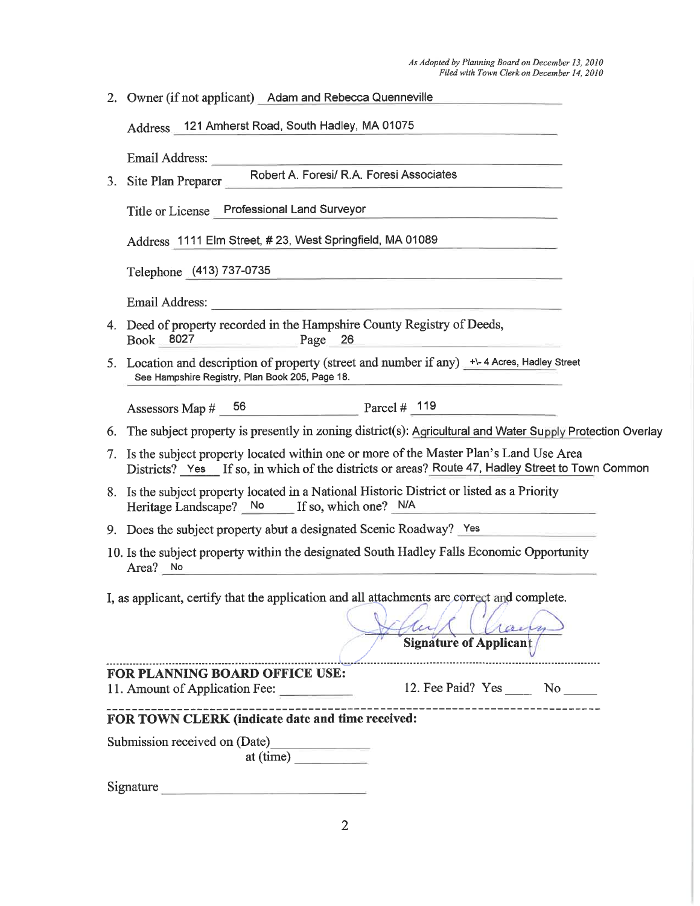|                                                                                                                                                                                                          | 2. Owner (if not applicant) Adam and Rebecca Quenneville                                                                                                                                                                                                             |  |  |  |
|----------------------------------------------------------------------------------------------------------------------------------------------------------------------------------------------------------|----------------------------------------------------------------------------------------------------------------------------------------------------------------------------------------------------------------------------------------------------------------------|--|--|--|
|                                                                                                                                                                                                          | Address 121 Amherst Road, South Hadley, MA 01075                                                                                                                                                                                                                     |  |  |  |
|                                                                                                                                                                                                          |                                                                                                                                                                                                                                                                      |  |  |  |
|                                                                                                                                                                                                          | 3. Site Plan Preparer _____ Robert A. Foresi/ R.A. Foresi Associates                                                                                                                                                                                                 |  |  |  |
|                                                                                                                                                                                                          | Title or License Professional Land Surveyor<br><u> 1980 - Jan Bernard Bernard, mars and de la provincia de la provincia de la provincia de la provincia de la p</u>                                                                                                  |  |  |  |
|                                                                                                                                                                                                          | Address 1111 Elm Street, #23, West Springfield, MA 01089                                                                                                                                                                                                             |  |  |  |
|                                                                                                                                                                                                          | Telephone (413) 737-0735<br>the contract of the contract of the contract of the contract of the contract of the contract of                                                                                                                                          |  |  |  |
|                                                                                                                                                                                                          |                                                                                                                                                                                                                                                                      |  |  |  |
|                                                                                                                                                                                                          | 4. Deed of property recorded in the Hampshire County Registry of Deeds,<br>Book 8027 Page 26<br><u> 1980 - Jan James James James James James James James James James James James James James James James James</u>                                                   |  |  |  |
|                                                                                                                                                                                                          | 5. Location and description of property (street and number if any) +\-4 Acres, Hadley Street<br>See Hampshire Registry, Plan Book 205, Page 18.                                                                                                                      |  |  |  |
|                                                                                                                                                                                                          | Assessors Map $\#$ 56 Parcel $\#$ 119                                                                                                                                                                                                                                |  |  |  |
|                                                                                                                                                                                                          | 6. The subject property is presently in zoning district(s): Agricultural and Water Supply Protection Overlay                                                                                                                                                         |  |  |  |
|                                                                                                                                                                                                          | 7. Is the subject property located within one or more of the Master Plan's Land Use Area<br>Districts? Yes If so, in which of the districts or areas? Route 47, Hadley Street to Town Common                                                                         |  |  |  |
|                                                                                                                                                                                                          | 8. Is the subject property located in a National Historic District or listed as a Priority<br>Heritage Landscape? No If so, which one? N/A<br><u> La Carlo Carlo Carlo Carlo Carlo Carlo Carlo Carlo Carlo Carlo Carlo Carlo Carlo Carlo Carlo Carlo Carlo Carlo</u> |  |  |  |
|                                                                                                                                                                                                          | 9. Does the subject property abut a designated Scenic Roadway? Yes                                                                                                                                                                                                   |  |  |  |
| 10. Is the subject property within the designated South Hadley Falls Economic Opportunity<br>Area? No<br>the contract of the contract of the contract of the contract of the contract of the contract of |                                                                                                                                                                                                                                                                      |  |  |  |
|                                                                                                                                                                                                          |                                                                                                                                                                                                                                                                      |  |  |  |
| I, as applicant, certify that the application and all attachments are correct and complete.                                                                                                              |                                                                                                                                                                                                                                                                      |  |  |  |
|                                                                                                                                                                                                          | con<br><b>Signature of Applicant</b>                                                                                                                                                                                                                                 |  |  |  |
|                                                                                                                                                                                                          | FOR PLANNING BOARD OFFICE USE:                                                                                                                                                                                                                                       |  |  |  |
|                                                                                                                                                                                                          | 12. Fee Paid? Yes No<br>11. Amount of Application Fee:                                                                                                                                                                                                               |  |  |  |
| FOR TOWN CLERK (indicate date and time received:                                                                                                                                                         |                                                                                                                                                                                                                                                                      |  |  |  |
| Submission received on (Date)                                                                                                                                                                            |                                                                                                                                                                                                                                                                      |  |  |  |
|                                                                                                                                                                                                          | at (time)                                                                                                                                                                                                                                                            |  |  |  |
|                                                                                                                                                                                                          | Signature experience and the second state of the second state of the second state of the second state of the second state of the second state of the second state of the second state of the second state of the second state                                        |  |  |  |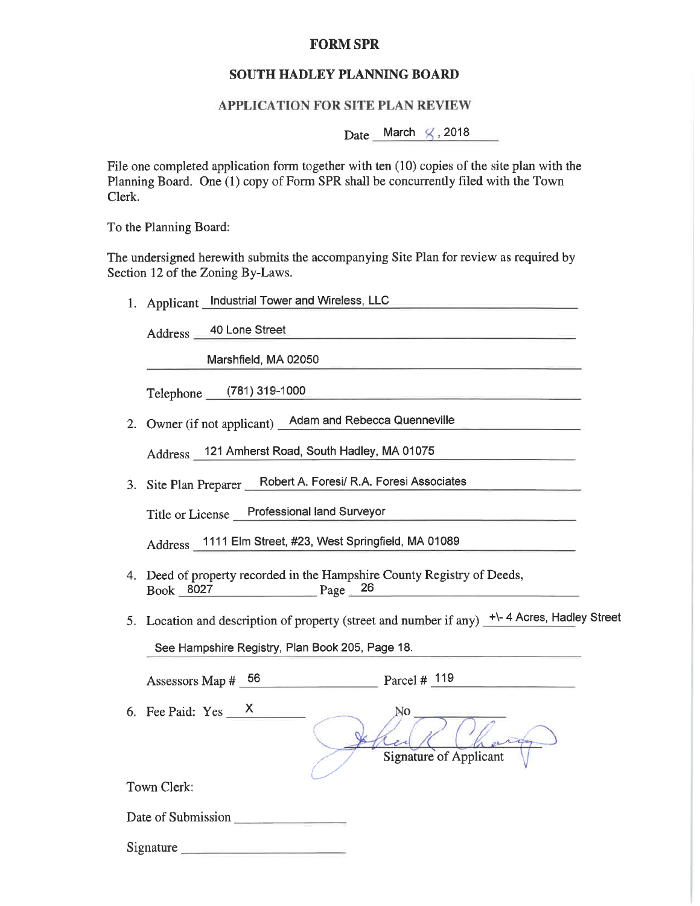### **FORM SPR**

### SOUTH HADLEY PLANNING BOARD

#### **APPLICATION FOR SITE PLAN REVIEW**

Date March  $\swarrow$ , 2018

File one completed application form together with ten (10) copies of the site plan with the Planning Board. One (1) copy of Form SPR shall be concurrently filed with the Town Clerk.

To the Planning Board:

The undersigned herewith submits the accompanying Site Plan for review as required by Section 12 of the Zoning By-Laws.

1. Applicant Industrial Tower and Wireless, LLC

40 Lone Street Address \_

Marshfield, MA 02050

Telephone (781) 319-1000

2. Owner (if not applicant) Adam and Rebecca Quenneville

Address 121 Amherst Road, South Hadley, MA 01075

Robert A. Foresi/ R.A. Foresi Associates 3. Site Plan Preparer

Title or License Professional land Surveyor

Address 1111 Elm Street, #23, West Springfield, MA 01089

- 4. Deed of property recorded in the Hampshire County Registry of Deeds,  $Page \t 26$ Book 8027
- 5. Location and description of property (street and number if any)  $+$ -4 Acres, Hadley Street

See Hampshire Registry, Plan Book 205, Page 18.

| Parcel #<br>Assessors Map $#$ 56 |  |
|----------------------------------|--|
|----------------------------------|--|

6. Fee Paid:  $Yes \_\ X$ 

**Signature of Applicant** 

Town Clerk:

Date of Submission

Signature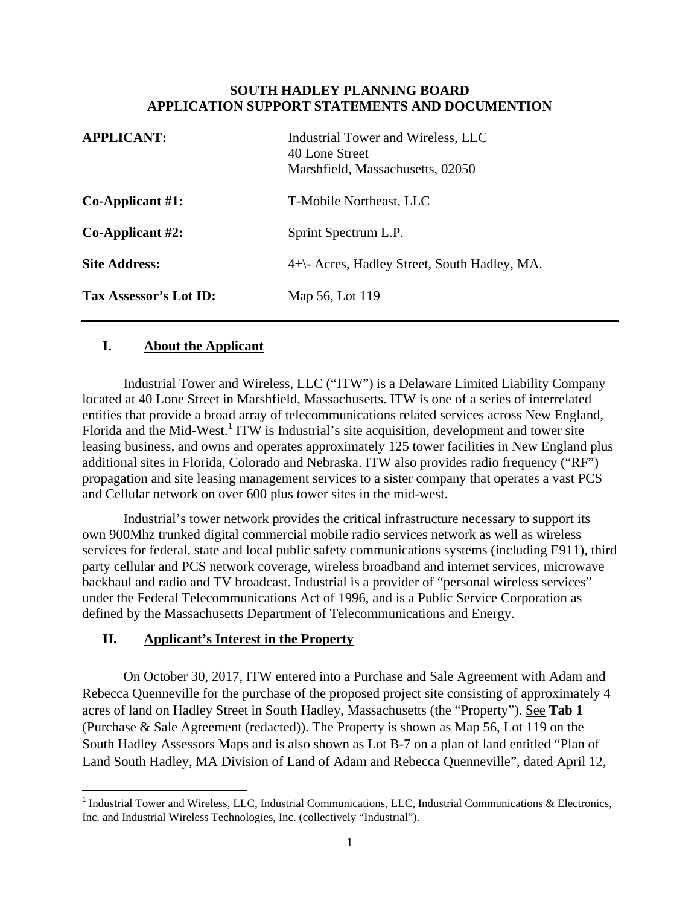#### **SOUTH HADLEY PLANNING BOARD APPLICATION SUPPORT STATEMENTS AND DOCUMENTION**

| <b>APPLICANT:</b>      | Industrial Tower and Wireless, LLC<br>40 Lone Street<br>Marshfield, Massachusetts, 02050 |
|------------------------|------------------------------------------------------------------------------------------|
| $Co$ -Applicant #1:    | T-Mobile Northeast, LLC                                                                  |
| $Co$ -Applicant #2:    | Sprint Spectrum L.P.                                                                     |
| <b>Site Address:</b>   | 4+\- Acres, Hadley Street, South Hadley, MA.                                             |
| Tax Assessor's Lot ID: | Map 56, Lot 119                                                                          |

### **I. About the Applicant**

Industrial Tower and Wireless, LLC ("ITW") is a Delaware Limited Liability Company located at 40 Lone Street in Marshfield, Massachusetts. ITW is one of a series of interrelated entities that provide a broad array of telecommunications related services across New England, Florida and the Mid-West.<sup>1</sup> ITW is Industrial's site acquisition, development and tower site leasing business, and owns and operates approximately 125 tower facilities in New England plus additional sites in Florida, Colorado and Nebraska. ITW also provides radio frequency ("RF") propagation and site leasing management services to a sister company that operates a vast PCS and Cellular network on over 600 plus tower sites in the mid-west.

Industrial's tower network provides the critical infrastructure necessary to support its own 900Mhz trunked digital commercial mobile radio services network as well as wireless services for federal, state and local public safety communications systems (including E911), third party cellular and PCS network coverage, wireless broadband and internet services, microwave backhaul and radio and TV broadcast. Industrial is a provider of "personal wireless services" under the Federal Telecommunications Act of 1996, and is a Public Service Corporation as defined by the Massachusetts Department of Telecommunications and Energy.

# **II. Applicant's Interest in the Property**

On October 30, 2017, ITW entered into a Purchase and Sale Agreement with Adam and Rebecca Quenneville for the purchase of the proposed project site consisting of approximately 4 acres of land on Hadley Street in South Hadley, Massachusetts (the "Property"). See **Tab 1** (Purchase & Sale Agreement (redacted)). The Property is shown as Map 56, Lot 119 on the South Hadley Assessors Maps and is also shown as Lot B-7 on a plan of land entitled "Plan of Land South Hadley, MA Division of Land of Adam and Rebecca Quenneville", dated April 12,

 $1$ Industrial Tower and Wireless, LLC, Industrial Communications, LLC, Industrial Communications & Electronics, Inc. and Industrial Wireless Technologies, Inc. (collectively "Industrial").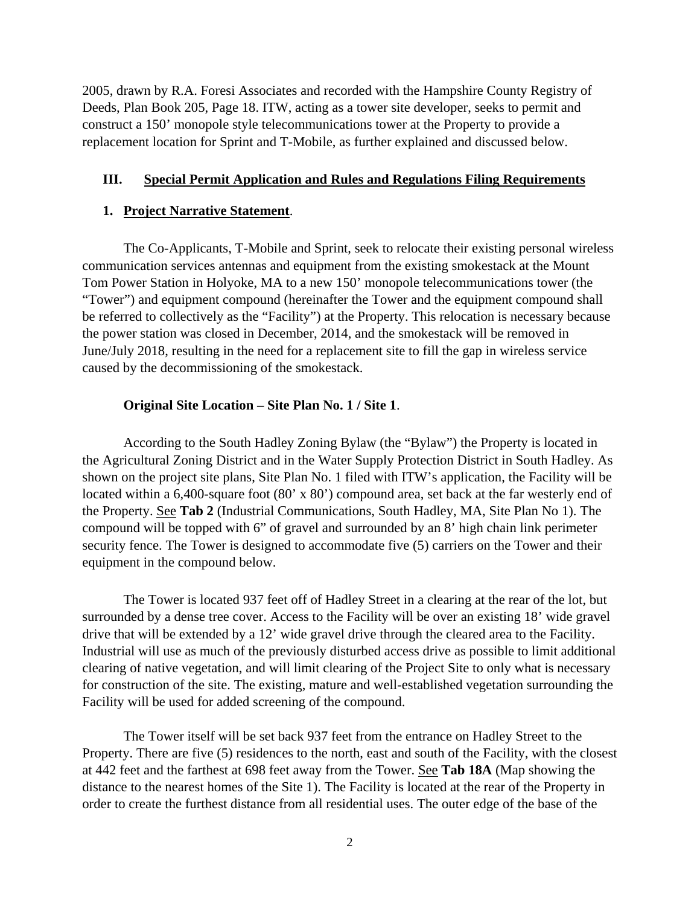2005, drawn by R.A. Foresi Associates and recorded with the Hampshire County Registry of Deeds, Plan Book 205, Page 18. ITW, acting as a tower site developer, seeks to permit and construct a 150' monopole style telecommunications tower at the Property to provide a replacement location for Sprint and T-Mobile, as further explained and discussed below.

#### **III. Special Permit Application and Rules and Regulations Filing Requirements**

#### **1. Project Narrative Statement**.

The Co-Applicants, T-Mobile and Sprint, seek to relocate their existing personal wireless communication services antennas and equipment from the existing smokestack at the Mount Tom Power Station in Holyoke, MA to a new 150' monopole telecommunications tower (the "Tower") and equipment compound (hereinafter the Tower and the equipment compound shall be referred to collectively as the "Facility") at the Property. This relocation is necessary because the power station was closed in December, 2014, and the smokestack will be removed in June/July 2018, resulting in the need for a replacement site to fill the gap in wireless service caused by the decommissioning of the smokestack.

### **Original Site Location – Site Plan No. 1 / Site 1**.

According to the South Hadley Zoning Bylaw (the "Bylaw") the Property is located in the Agricultural Zoning District and in the Water Supply Protection District in South Hadley. As shown on the project site plans, Site Plan No. 1 filed with ITW's application, the Facility will be located within a 6,400-square foot (80' x 80') compound area, set back at the far westerly end of the Property. See **Tab 2** (Industrial Communications, South Hadley, MA, Site Plan No 1). The compound will be topped with 6" of gravel and surrounded by an 8' high chain link perimeter security fence. The Tower is designed to accommodate five (5) carriers on the Tower and their equipment in the compound below.

The Tower is located 937 feet off of Hadley Street in a clearing at the rear of the lot, but surrounded by a dense tree cover. Access to the Facility will be over an existing 18' wide gravel drive that will be extended by a 12' wide gravel drive through the cleared area to the Facility. Industrial will use as much of the previously disturbed access drive as possible to limit additional clearing of native vegetation, and will limit clearing of the Project Site to only what is necessary for construction of the site. The existing, mature and well-established vegetation surrounding the Facility will be used for added screening of the compound.

The Tower itself will be set back 937 feet from the entrance on Hadley Street to the Property. There are five (5) residences to the north, east and south of the Facility, with the closest at 442 feet and the farthest at 698 feet away from the Tower. See **Tab 18A** (Map showing the distance to the nearest homes of the Site 1). The Facility is located at the rear of the Property in order to create the furthest distance from all residential uses. The outer edge of the base of the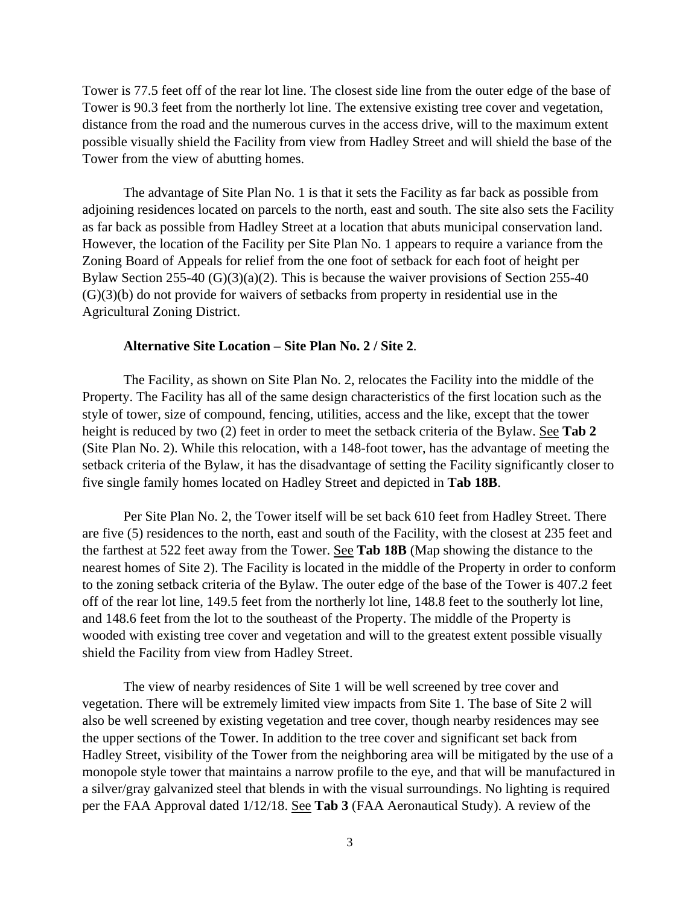Tower is 77.5 feet off of the rear lot line. The closest side line from the outer edge of the base of Tower is 90.3 feet from the northerly lot line. The extensive existing tree cover and vegetation, distance from the road and the numerous curves in the access drive, will to the maximum extent possible visually shield the Facility from view from Hadley Street and will shield the base of the Tower from the view of abutting homes.

The advantage of Site Plan No. 1 is that it sets the Facility as far back as possible from adjoining residences located on parcels to the north, east and south. The site also sets the Facility as far back as possible from Hadley Street at a location that abuts municipal conservation land. However, the location of the Facility per Site Plan No. 1 appears to require a variance from the Zoning Board of Appeals for relief from the one foot of setback for each foot of height per Bylaw Section 255-40 (G)(3)(a)(2). This is because the waiver provisions of Section 255-40  $(G)(3)(b)$  do not provide for waivers of setbacks from property in residential use in the Agricultural Zoning District.

#### **Alternative Site Location – Site Plan No. 2 / Site 2**.

The Facility, as shown on Site Plan No. 2, relocates the Facility into the middle of the Property. The Facility has all of the same design characteristics of the first location such as the style of tower, size of compound, fencing, utilities, access and the like, except that the tower height is reduced by two (2) feet in order to meet the setback criteria of the Bylaw. See **Tab 2** (Site Plan No. 2). While this relocation, with a 148-foot tower, has the advantage of meeting the setback criteria of the Bylaw, it has the disadvantage of setting the Facility significantly closer to five single family homes located on Hadley Street and depicted in **Tab 18B**.

Per Site Plan No. 2, the Tower itself will be set back 610 feet from Hadley Street. There are five (5) residences to the north, east and south of the Facility, with the closest at 235 feet and the farthest at 522 feet away from the Tower. See **Tab 18B** (Map showing the distance to the nearest homes of Site 2). The Facility is located in the middle of the Property in order to conform to the zoning setback criteria of the Bylaw. The outer edge of the base of the Tower is 407.2 feet off of the rear lot line, 149.5 feet from the northerly lot line, 148.8 feet to the southerly lot line, and 148.6 feet from the lot to the southeast of the Property. The middle of the Property is wooded with existing tree cover and vegetation and will to the greatest extent possible visually shield the Facility from view from Hadley Street.

The view of nearby residences of Site 1 will be well screened by tree cover and vegetation. There will be extremely limited view impacts from Site 1. The base of Site 2 will also be well screened by existing vegetation and tree cover, though nearby residences may see the upper sections of the Tower. In addition to the tree cover and significant set back from Hadley Street, visibility of the Tower from the neighboring area will be mitigated by the use of a monopole style tower that maintains a narrow profile to the eye, and that will be manufactured in a silver/gray galvanized steel that blends in with the visual surroundings. No lighting is required per the FAA Approval dated 1/12/18. See **Tab 3** (FAA Aeronautical Study). A review of the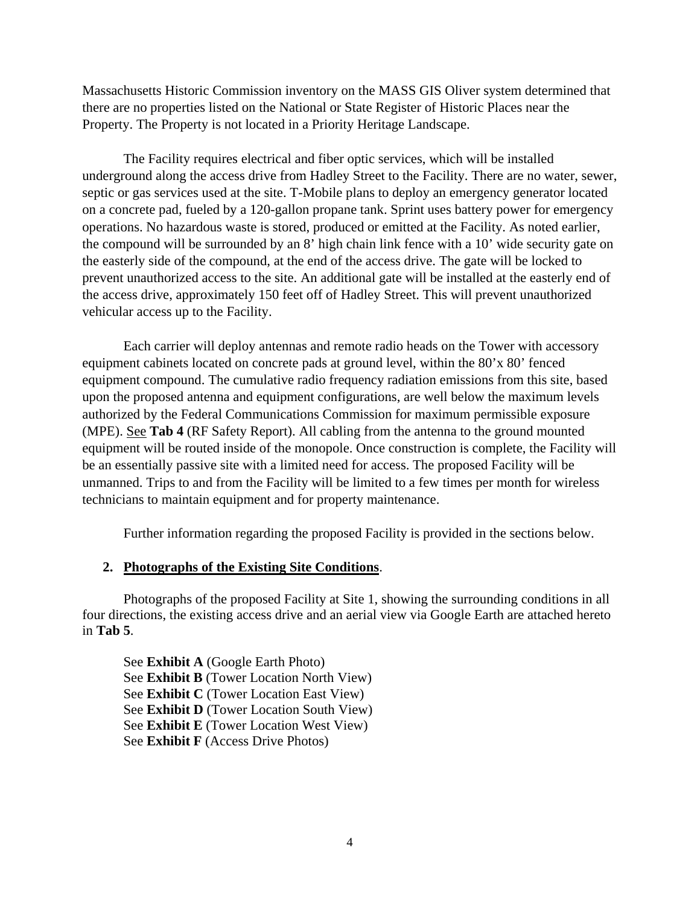Massachusetts Historic Commission inventory on the MASS GIS Oliver system determined that there are no properties listed on the National or State Register of Historic Places near the Property. The Property is not located in a Priority Heritage Landscape.

The Facility requires electrical and fiber optic services, which will be installed underground along the access drive from Hadley Street to the Facility. There are no water, sewer, septic or gas services used at the site. T-Mobile plans to deploy an emergency generator located on a concrete pad, fueled by a 120-gallon propane tank. Sprint uses battery power for emergency operations. No hazardous waste is stored, produced or emitted at the Facility. As noted earlier, the compound will be surrounded by an 8' high chain link fence with a 10' wide security gate on the easterly side of the compound, at the end of the access drive. The gate will be locked to prevent unauthorized access to the site. An additional gate will be installed at the easterly end of the access drive, approximately 150 feet off of Hadley Street. This will prevent unauthorized vehicular access up to the Facility.

Each carrier will deploy antennas and remote radio heads on the Tower with accessory equipment cabinets located on concrete pads at ground level, within the 80'x 80' fenced equipment compound. The cumulative radio frequency radiation emissions from this site, based upon the proposed antenna and equipment configurations, are well below the maximum levels authorized by the Federal Communications Commission for maximum permissible exposure (MPE). See **Tab 4** (RF Safety Report). All cabling from the antenna to the ground mounted equipment will be routed inside of the monopole. Once construction is complete, the Facility will be an essentially passive site with a limited need for access. The proposed Facility will be unmanned. Trips to and from the Facility will be limited to a few times per month for wireless technicians to maintain equipment and for property maintenance.

Further information regarding the proposed Facility is provided in the sections below.

### **2. Photographs of the Existing Site Conditions**.

Photographs of the proposed Facility at Site 1, showing the surrounding conditions in all four directions, the existing access drive and an aerial view via Google Earth are attached hereto in **Tab 5**.

See **Exhibit A** (Google Earth Photo) See **Exhibit B** (Tower Location North View) See **Exhibit C** (Tower Location East View) See **Exhibit D** (Tower Location South View) See **Exhibit E** (Tower Location West View) See **Exhibit F** (Access Drive Photos)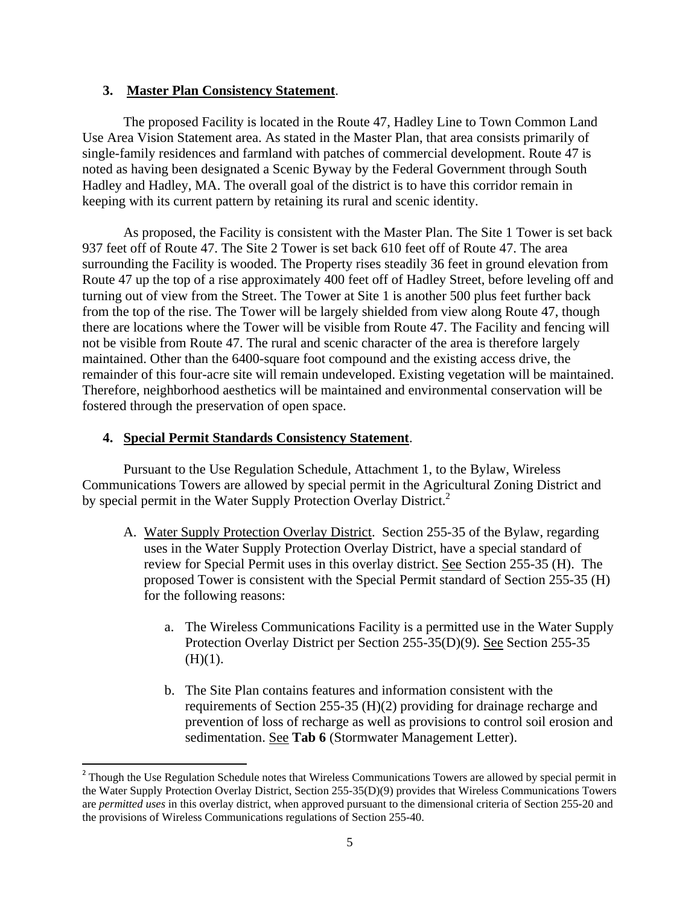### **3. Master Plan Consistency Statement**.

The proposed Facility is located in the Route 47, Hadley Line to Town Common Land Use Area Vision Statement area. As stated in the Master Plan, that area consists primarily of single-family residences and farmland with patches of commercial development. Route 47 is noted as having been designated a Scenic Byway by the Federal Government through South Hadley and Hadley, MA. The overall goal of the district is to have this corridor remain in keeping with its current pattern by retaining its rural and scenic identity.

As proposed, the Facility is consistent with the Master Plan. The Site 1 Tower is set back 937 feet off of Route 47. The Site 2 Tower is set back 610 feet off of Route 47. The area surrounding the Facility is wooded. The Property rises steadily 36 feet in ground elevation from Route 47 up the top of a rise approximately 400 feet off of Hadley Street, before leveling off and turning out of view from the Street. The Tower at Site 1 is another 500 plus feet further back from the top of the rise. The Tower will be largely shielded from view along Route 47, though there are locations where the Tower will be visible from Route 47. The Facility and fencing will not be visible from Route 47. The rural and scenic character of the area is therefore largely maintained. Other than the 6400-square foot compound and the existing access drive, the remainder of this four-acre site will remain undeveloped. Existing vegetation will be maintained. Therefore, neighborhood aesthetics will be maintained and environmental conservation will be fostered through the preservation of open space.

#### **4. Special Permit Standards Consistency Statement**.

Pursuant to the Use Regulation Schedule, Attachment 1, to the Bylaw, Wireless Communications Towers are allowed by special permit in the Agricultural Zoning District and by special permit in the Water Supply Protection Overlay District.<sup>2</sup>

- A. Water Supply Protection Overlay District. Section 255-35 of the Bylaw, regarding uses in the Water Supply Protection Overlay District, have a special standard of review for Special Permit uses in this overlay district. See Section 255-35 (H). The proposed Tower is consistent with the Special Permit standard of Section 255-35 (H) for the following reasons:
	- a. The Wireless Communications Facility is a permitted use in the Water Supply Protection Overlay District per Section 255-35(D)(9). See Section 255-35  $(H)(1)$ .
	- b. The Site Plan contains features and information consistent with the requirements of Section 255-35 (H)(2) providing for drainage recharge and prevention of loss of recharge as well as provisions to control soil erosion and sedimentation. See **Tab 6** (Stormwater Management Letter).

<sup>&</sup>lt;sup>2</sup> Though the Use Regulation Schedule notes that Wireless Communications Towers are allowed by special permit in the Water Supply Protection Overlay District, Section 255-35(D)(9) provides that Wireless Communications Towers are *permitted uses* in this overlay district, when approved pursuant to the dimensional criteria of Section 255-20 and the provisions of Wireless Communications regulations of Section 255-40.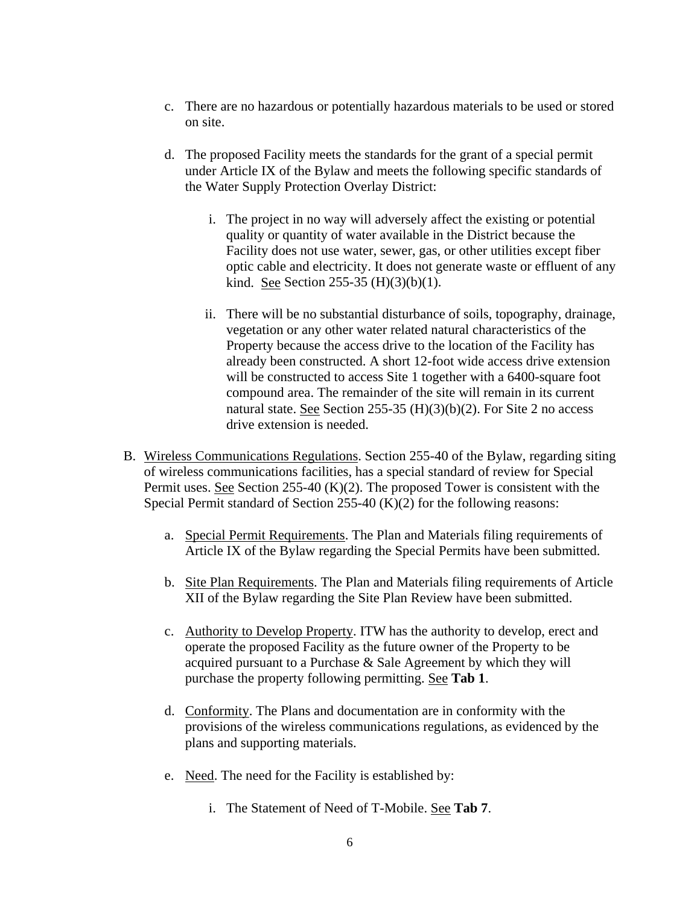- c. There are no hazardous or potentially hazardous materials to be used or stored on site.
- d. The proposed Facility meets the standards for the grant of a special permit under Article IX of the Bylaw and meets the following specific standards of the Water Supply Protection Overlay District:
	- i. The project in no way will adversely affect the existing or potential quality or quantity of water available in the District because the Facility does not use water, sewer, gas, or other utilities except fiber optic cable and electricity. It does not generate waste or effluent of any kind. See Section 255-35  $(H)(3)(b)(1)$ .
	- ii. There will be no substantial disturbance of soils, topography, drainage, vegetation or any other water related natural characteristics of the Property because the access drive to the location of the Facility has already been constructed. A short 12-foot wide access drive extension will be constructed to access Site 1 together with a 6400-square foot compound area. The remainder of the site will remain in its current natural state. See Section 255-35  $(H)(3)(b)(2)$ . For Site 2 no access drive extension is needed.
- B. Wireless Communications Regulations. Section 255-40 of the Bylaw, regarding siting of wireless communications facilities, has a special standard of review for Special Permit uses. See Section 255-40  $(K)(2)$ . The proposed Tower is consistent with the Special Permit standard of Section 255-40 (K)(2) for the following reasons:
	- a. Special Permit Requirements. The Plan and Materials filing requirements of Article IX of the Bylaw regarding the Special Permits have been submitted.
	- b. Site Plan Requirements. The Plan and Materials filing requirements of Article XII of the Bylaw regarding the Site Plan Review have been submitted.
	- c. Authority to Develop Property. ITW has the authority to develop, erect and operate the proposed Facility as the future owner of the Property to be acquired pursuant to a Purchase & Sale Agreement by which they will purchase the property following permitting. See **Tab 1**.
	- d. Conformity. The Plans and documentation are in conformity with the provisions of the wireless communications regulations, as evidenced by the plans and supporting materials.
	- e. Need. The need for the Facility is established by:
		- i. The Statement of Need of T-Mobile. See **Tab 7**.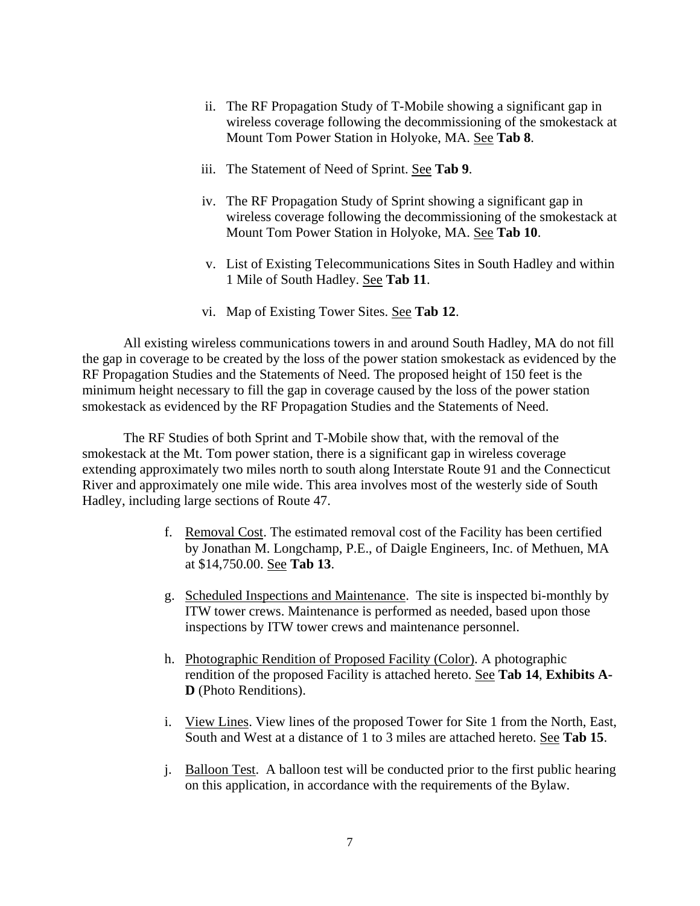- ii. The RF Propagation Study of T-Mobile showing a significant gap in wireless coverage following the decommissioning of the smokestack at Mount Tom Power Station in Holyoke, MA. See **Tab 8**.
- iii. The Statement of Need of Sprint. See **Tab 9**.
- iv. The RF Propagation Study of Sprint showing a significant gap in wireless coverage following the decommissioning of the smokestack at Mount Tom Power Station in Holyoke, MA. See **Tab 10**.
- v. List of Existing Telecommunications Sites in South Hadley and within 1 Mile of South Hadley. See **Tab 11**.
- vi. Map of Existing Tower Sites. See **Tab 12**.

All existing wireless communications towers in and around South Hadley, MA do not fill the gap in coverage to be created by the loss of the power station smokestack as evidenced by the RF Propagation Studies and the Statements of Need. The proposed height of 150 feet is the minimum height necessary to fill the gap in coverage caused by the loss of the power station smokestack as evidenced by the RF Propagation Studies and the Statements of Need.

The RF Studies of both Sprint and T-Mobile show that, with the removal of the smokestack at the Mt. Tom power station, there is a significant gap in wireless coverage extending approximately two miles north to south along Interstate Route 91 and the Connecticut River and approximately one mile wide. This area involves most of the westerly side of South Hadley, including large sections of Route 47.

- f. Removal Cost. The estimated removal cost of the Facility has been certified by Jonathan M. Longchamp, P.E., of Daigle Engineers, Inc. of Methuen, MA at \$14,750.00. See **Tab 13**.
- g. Scheduled Inspections and Maintenance. The site is inspected bi-monthly by ITW tower crews. Maintenance is performed as needed, based upon those inspections by ITW tower crews and maintenance personnel.
- h. Photographic Rendition of Proposed Facility (Color). A photographic rendition of the proposed Facility is attached hereto. See **Tab 14**, **Exhibits A-D** (Photo Renditions).
- i. View Lines. View lines of the proposed Tower for Site 1 from the North, East, South and West at a distance of 1 to 3 miles are attached hereto. See **Tab 15**.
- j. Balloon Test. A balloon test will be conducted prior to the first public hearing on this application, in accordance with the requirements of the Bylaw.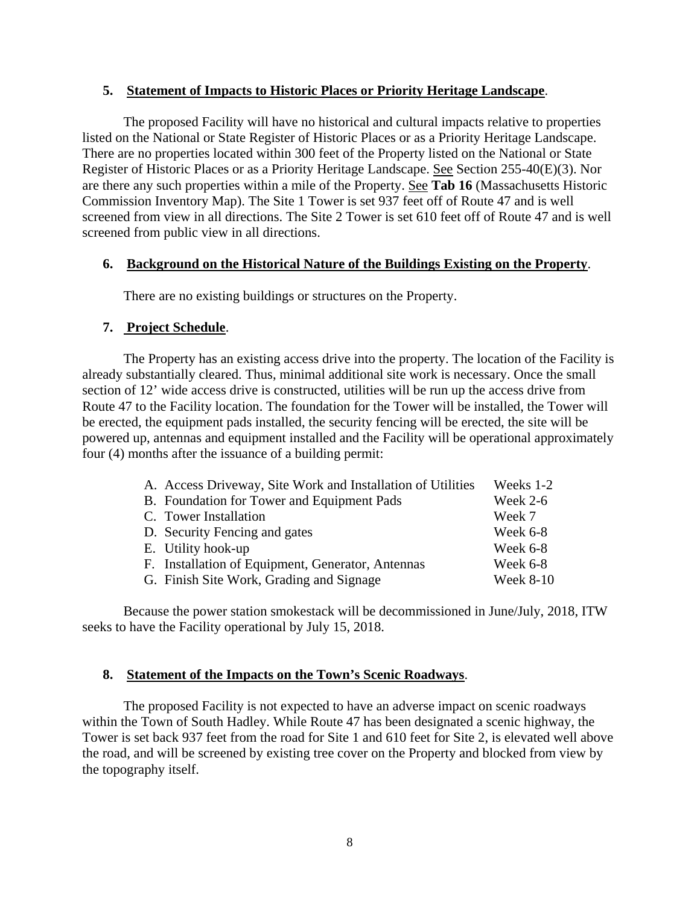#### **5. Statement of Impacts to Historic Places or Priority Heritage Landscape**.

The proposed Facility will have no historical and cultural impacts relative to properties listed on the National or State Register of Historic Places or as a Priority Heritage Landscape. There are no properties located within 300 feet of the Property listed on the National or State Register of Historic Places or as a Priority Heritage Landscape. See Section 255-40(E)(3). Nor are there any such properties within a mile of the Property. See **Tab 16** (Massachusetts Historic Commission Inventory Map). The Site 1 Tower is set 937 feet off of Route 47 and is well screened from view in all directions. The Site 2 Tower is set 610 feet off of Route 47 and is well screened from public view in all directions.

### **6. Background on the Historical Nature of the Buildings Existing on the Property**.

There are no existing buildings or structures on the Property.

# **7. Project Schedule**.

The Property has an existing access drive into the property. The location of the Facility is already substantially cleared. Thus, minimal additional site work is necessary. Once the small section of 12' wide access drive is constructed, utilities will be run up the access drive from Route 47 to the Facility location. The foundation for the Tower will be installed, the Tower will be erected, the equipment pads installed, the security fencing will be erected, the site will be powered up, antennas and equipment installed and the Facility will be operational approximately four (4) months after the issuance of a building permit:

| A. Access Driveway, Site Work and Installation of Utilities | Weeks 1-2        |
|-------------------------------------------------------------|------------------|
| B. Foundation for Tower and Equipment Pads                  | <b>Week 2-6</b>  |
| C. Tower Installation                                       | Week 7           |
| D. Security Fencing and gates                               | Week 6-8         |
| E. Utility hook-up                                          | Week 6-8         |
| F. Installation of Equipment, Generator, Antennas           | Week 6-8         |
| G. Finish Site Work, Grading and Signage                    | <b>Week 8-10</b> |

Because the power station smokestack will be decommissioned in June/July, 2018, ITW seeks to have the Facility operational by July 15, 2018.

# **8. Statement of the Impacts on the Town's Scenic Roadways**.

The proposed Facility is not expected to have an adverse impact on scenic roadways within the Town of South Hadley. While Route 47 has been designated a scenic highway, the Tower is set back 937 feet from the road for Site 1 and 610 feet for Site 2, is elevated well above the road, and will be screened by existing tree cover on the Property and blocked from view by the topography itself.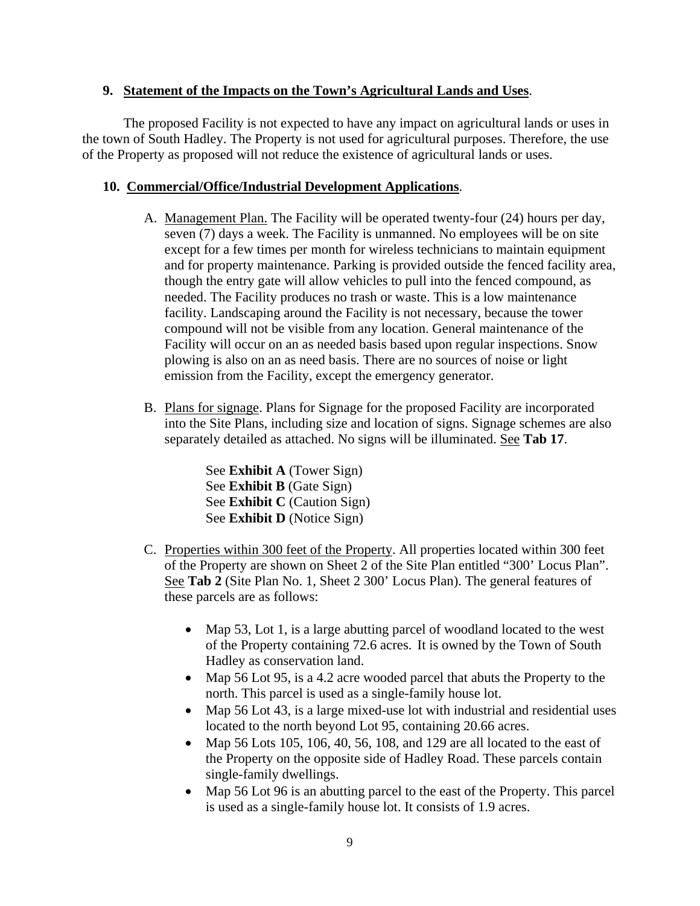# **9. Statement of the Impacts on the Town's Agricultural Lands and Uses**.

The proposed Facility is not expected to have any impact on agricultural lands or uses in the town of South Hadley. The Property is not used for agricultural purposes. Therefore, the use of the Property as proposed will not reduce the existence of agricultural lands or uses.

# **10. Commercial/Office/Industrial Development Applications**.

- A. Management Plan. The Facility will be operated twenty-four (24) hours per day, seven (7) days a week. The Facility is unmanned. No employees will be on site except for a few times per month for wireless technicians to maintain equipment and for property maintenance. Parking is provided outside the fenced facility area, though the entry gate will allow vehicles to pull into the fenced compound, as needed. The Facility produces no trash or waste. This is a low maintenance facility. Landscaping around the Facility is not necessary, because the tower compound will not be visible from any location. General maintenance of the Facility will occur on an as needed basis based upon regular inspections. Snow plowing is also on an as need basis. There are no sources of noise or light emission from the Facility, except the emergency generator.
- B. Plans for signage. Plans for Signage for the proposed Facility are incorporated into the Site Plans, including size and location of signs. Signage schemes are also separately detailed as attached. No signs will be illuminated. See **Tab 17**.

See **Exhibit A** (Tower Sign) See **Exhibit B** (Gate Sign) See **Exhibit C** (Caution Sign) See **Exhibit D** (Notice Sign)

- C. Properties within 300 feet of the Property. All properties located within 300 feet of the Property are shown on Sheet 2 of the Site Plan entitled "300' Locus Plan". See **Tab 2** (Site Plan No. 1, Sheet 2 300' Locus Plan). The general features of these parcels are as follows:
	- Map 53, Lot 1, is a large abutting parcel of woodland located to the west of the Property containing 72.6 acres. It is owned by the Town of South Hadley as conservation land.
	- Map 56 Lot 95, is a 4.2 acre wooded parcel that abuts the Property to the north. This parcel is used as a single-family house lot.
	- Map 56 Lot 43, is a large mixed-use lot with industrial and residential uses located to the north beyond Lot 95, containing 20.66 acres.
	- Map 56 Lots 105, 106, 40, 56, 108, and 129 are all located to the east of the Property on the opposite side of Hadley Road. These parcels contain single-family dwellings.
	- Map 56 Lot 96 is an abutting parcel to the east of the Property. This parcel is used as a single-family house lot. It consists of 1.9 acres.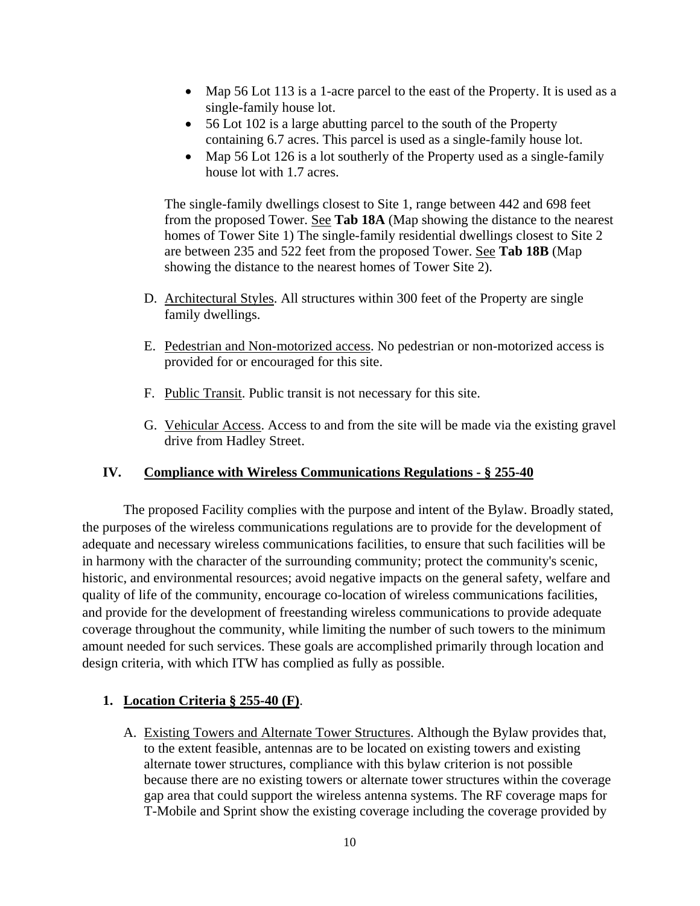- Map 56 Lot 113 is a 1-acre parcel to the east of the Property. It is used as a single-family house lot.
- 56 Lot 102 is a large abutting parcel to the south of the Property containing 6.7 acres. This parcel is used as a single-family house lot.
- Map 56 Lot 126 is a lot southerly of the Property used as a single-family house lot with 1.7 acres.

The single-family dwellings closest to Site 1, range between 442 and 698 feet from the proposed Tower. See **Tab 18A** (Map showing the distance to the nearest homes of Tower Site 1) The single-family residential dwellings closest to Site 2 are between 235 and 522 feet from the proposed Tower. See **Tab 18B** (Map showing the distance to the nearest homes of Tower Site 2).

- D. Architectural Styles. All structures within 300 feet of the Property are single family dwellings.
- E. Pedestrian and Non-motorized access. No pedestrian or non-motorized access is provided for or encouraged for this site.
- F. Public Transit. Public transit is not necessary for this site.
- G. Vehicular Access. Access to and from the site will be made via the existing gravel drive from Hadley Street.

# **IV. Compliance with Wireless Communications Regulations - § 255-40**

The proposed Facility complies with the purpose and intent of the Bylaw. Broadly stated, the purposes of the wireless communications regulations are to provide for the development of adequate and necessary wireless communications facilities, to ensure that such facilities will be in harmony with the character of the surrounding community; protect the community's scenic, historic, and environmental resources; avoid negative impacts on the general safety, welfare and quality of life of the community, encourage co-location of wireless communications facilities, and provide for the development of freestanding wireless communications to provide adequate coverage throughout the community, while limiting the number of such towers to the minimum amount needed for such services. These goals are accomplished primarily through location and design criteria, with which ITW has complied as fully as possible.

# **1. Location Criteria § 255-40 (F)**.

A. Existing Towers and Alternate Tower Structures. Although the Bylaw provides that, to the extent feasible, antennas are to be located on existing towers and existing alternate tower structures, compliance with this bylaw criterion is not possible because there are no existing towers or alternate tower structures within the coverage gap area that could support the wireless antenna systems. The RF coverage maps for T-Mobile and Sprint show the existing coverage including the coverage provided by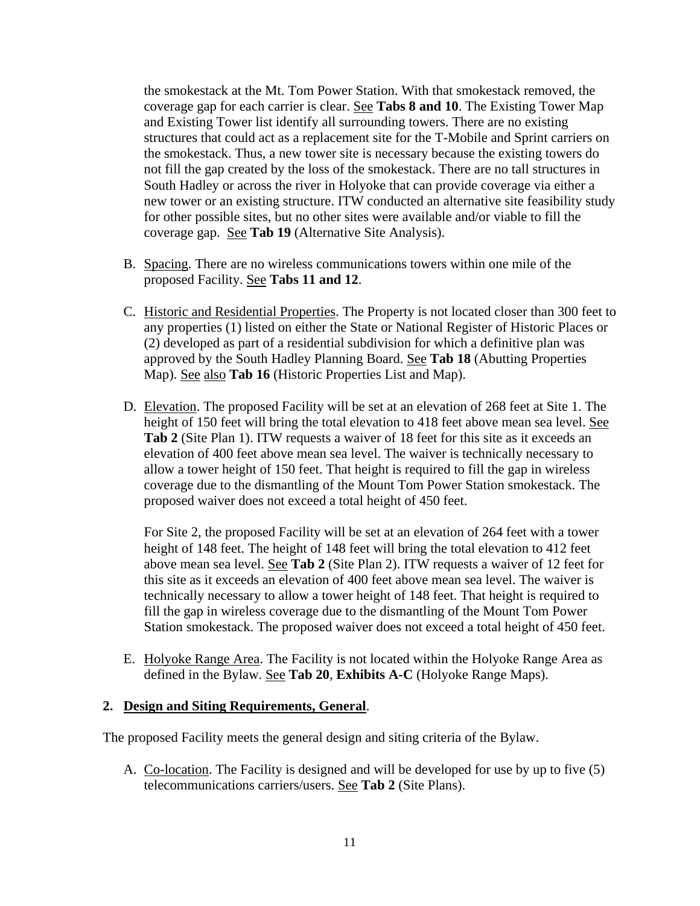the smokestack at the Mt. Tom Power Station. With that smokestack removed, the coverage gap for each carrier is clear. See **Tabs 8 and 10**. The Existing Tower Map and Existing Tower list identify all surrounding towers. There are no existing structures that could act as a replacement site for the T-Mobile and Sprint carriers on the smokestack. Thus, a new tower site is necessary because the existing towers do not fill the gap created by the loss of the smokestack. There are no tall structures in South Hadley or across the river in Holyoke that can provide coverage via either a new tower or an existing structure. ITW conducted an alternative site feasibility study for other possible sites, but no other sites were available and/or viable to fill the coverage gap. See **Tab 19** (Alternative Site Analysis).

- B. Spacing. There are no wireless communications towers within one mile of the proposed Facility. See **Tabs 11 and 12**.
- C. Historic and Residential Properties. The Property is not located closer than 300 feet to any properties (1) listed on either the State or National Register of Historic Places or (2) developed as part of a residential subdivision for which a definitive plan was approved by the South Hadley Planning Board. See **Tab 18** (Abutting Properties Map). See also **Tab 16** (Historic Properties List and Map).
- D. Elevation. The proposed Facility will be set at an elevation of 268 feet at Site 1. The height of 150 feet will bring the total elevation to 418 feet above mean sea level. See **Tab 2** (Site Plan 1). ITW requests a waiver of 18 feet for this site as it exceeds an elevation of 400 feet above mean sea level. The waiver is technically necessary to allow a tower height of 150 feet. That height is required to fill the gap in wireless coverage due to the dismantling of the Mount Tom Power Station smokestack. The proposed waiver does not exceed a total height of 450 feet.

For Site 2, the proposed Facility will be set at an elevation of 264 feet with a tower height of 148 feet. The height of 148 feet will bring the total elevation to 412 feet above mean sea level. See **Tab 2** (Site Plan 2). ITW requests a waiver of 12 feet for this site as it exceeds an elevation of 400 feet above mean sea level. The waiver is technically necessary to allow a tower height of 148 feet. That height is required to fill the gap in wireless coverage due to the dismantling of the Mount Tom Power Station smokestack. The proposed waiver does not exceed a total height of 450 feet.

E. Holyoke Range Area. The Facility is not located within the Holyoke Range Area as defined in the Bylaw. See **Tab 20**, **Exhibits A-C** (Holyoke Range Maps).

### **2. Design and Siting Requirements, General**.

The proposed Facility meets the general design and siting criteria of the Bylaw.

A. Co-location. The Facility is designed and will be developed for use by up to five (5) telecommunications carriers/users. See **Tab 2** (Site Plans).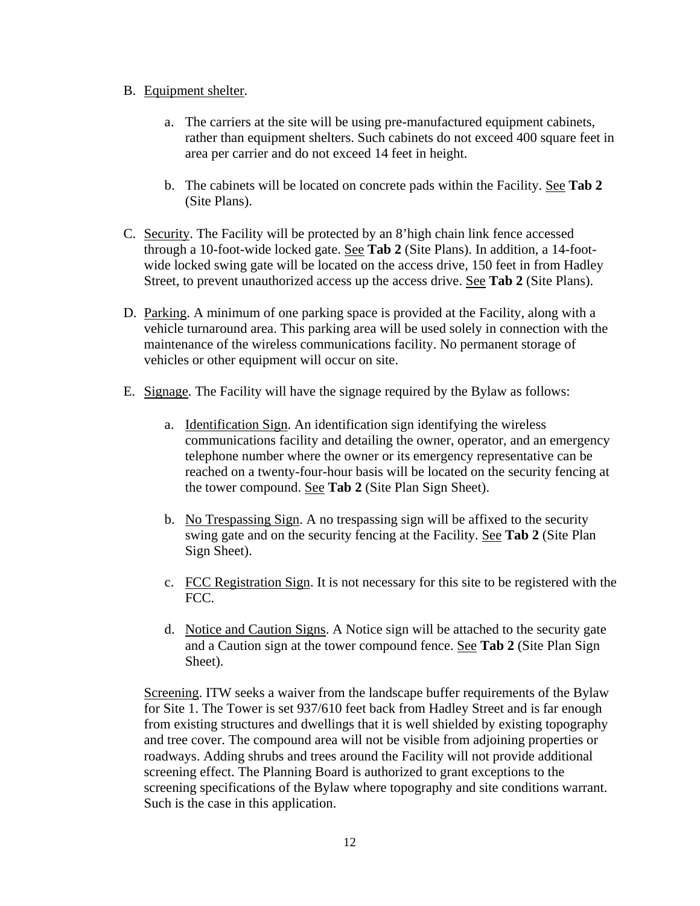# B. Equipment shelter.

- a. The carriers at the site will be using pre-manufactured equipment cabinets, rather than equipment shelters. Such cabinets do not exceed 400 square feet in area per carrier and do not exceed 14 feet in height.
- b. The cabinets will be located on concrete pads within the Facility. See **Tab 2** (Site Plans).
- C. Security. The Facility will be protected by an 8'high chain link fence accessed through a 10-foot-wide locked gate. See **Tab 2** (Site Plans). In addition, a 14-footwide locked swing gate will be located on the access drive, 150 feet in from Hadley Street, to prevent unauthorized access up the access drive. See **Tab 2** (Site Plans).
- D. Parking. A minimum of one parking space is provided at the Facility, along with a vehicle turnaround area. This parking area will be used solely in connection with the maintenance of the wireless communications facility. No permanent storage of vehicles or other equipment will occur on site.
- E. Signage. The Facility will have the signage required by the Bylaw as follows:
	- a. Identification Sign. An identification sign identifying the wireless communications facility and detailing the owner, operator, and an emergency telephone number where the owner or its emergency representative can be reached on a twenty-four-hour basis will be located on the security fencing at the tower compound. See **Tab 2** (Site Plan Sign Sheet).
	- b. No Trespassing Sign. A no trespassing sign will be affixed to the security swing gate and on the security fencing at the Facility. See **Tab 2** (Site Plan Sign Sheet).
	- c. FCC Registration Sign. It is not necessary for this site to be registered with the FCC.
	- d. Notice and Caution Signs. A Notice sign will be attached to the security gate and a Caution sign at the tower compound fence. See **Tab 2** (Site Plan Sign Sheet).

Screening. ITW seeks a waiver from the landscape buffer requirements of the Bylaw for Site 1. The Tower is set 937/610 feet back from Hadley Street and is far enough from existing structures and dwellings that it is well shielded by existing topography and tree cover. The compound area will not be visible from adjoining properties or roadways. Adding shrubs and trees around the Facility will not provide additional screening effect. The Planning Board is authorized to grant exceptions to the screening specifications of the Bylaw where topography and site conditions warrant. Such is the case in this application.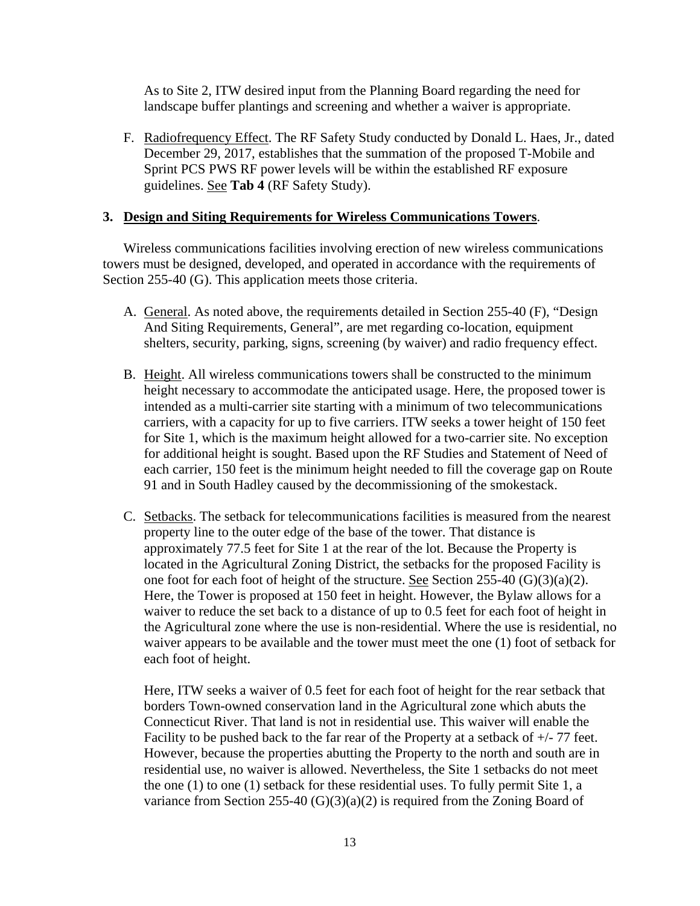As to Site 2, ITW desired input from the Planning Board regarding the need for landscape buffer plantings and screening and whether a waiver is appropriate.

F. Radiofrequency Effect. The RF Safety Study conducted by Donald L. Haes, Jr., dated December 29, 2017, establishes that the summation of the proposed T-Mobile and Sprint PCS PWS RF power levels will be within the established RF exposure guidelines. See **Tab 4** (RF Safety Study).

### **3. Design and Siting Requirements for Wireless Communications Towers**.

Wireless communications facilities involving erection of new wireless communications towers must be designed, developed, and operated in accordance with the requirements of Section 255-40 (G). This application meets those criteria.

- A. General. As noted above, the requirements detailed in Section 255-40 (F), "Design And Siting Requirements, General", are met regarding co-location, equipment shelters, security, parking, signs, screening (by waiver) and radio frequency effect.
- B. Height. All wireless communications towers shall be constructed to the minimum height necessary to accommodate the anticipated usage. Here, the proposed tower is intended as a multi-carrier site starting with a minimum of two telecommunications carriers, with a capacity for up to five carriers. ITW seeks a tower height of 150 feet for Site 1, which is the maximum height allowed for a two-carrier site. No exception for additional height is sought. Based upon the RF Studies and Statement of Need of each carrier, 150 feet is the minimum height needed to fill the coverage gap on Route 91 and in South Hadley caused by the decommissioning of the smokestack.
- C. Setbacks. The setback for telecommunications facilities is measured from the nearest property line to the outer edge of the base of the tower. That distance is approximately 77.5 feet for Site 1 at the rear of the lot. Because the Property is located in the Agricultural Zoning District, the setbacks for the proposed Facility is one foot for each foot of height of the structure. See Section 255-40 (G)(3)(a)(2). Here, the Tower is proposed at 150 feet in height. However, the Bylaw allows for a waiver to reduce the set back to a distance of up to 0.5 feet for each foot of height in the Agricultural zone where the use is non-residential. Where the use is residential, no waiver appears to be available and the tower must meet the one (1) foot of setback for each foot of height.

Here, ITW seeks a waiver of 0.5 feet for each foot of height for the rear setback that borders Town-owned conservation land in the Agricultural zone which abuts the Connecticut River. That land is not in residential use. This waiver will enable the Facility to be pushed back to the far rear of the Property at a setback of  $+/-77$  feet. However, because the properties abutting the Property to the north and south are in residential use, no waiver is allowed. Nevertheless, the Site 1 setbacks do not meet the one (1) to one (1) setback for these residential uses. To fully permit Site 1, a variance from Section 255-40  $(G)(3)(a)(2)$  is required from the Zoning Board of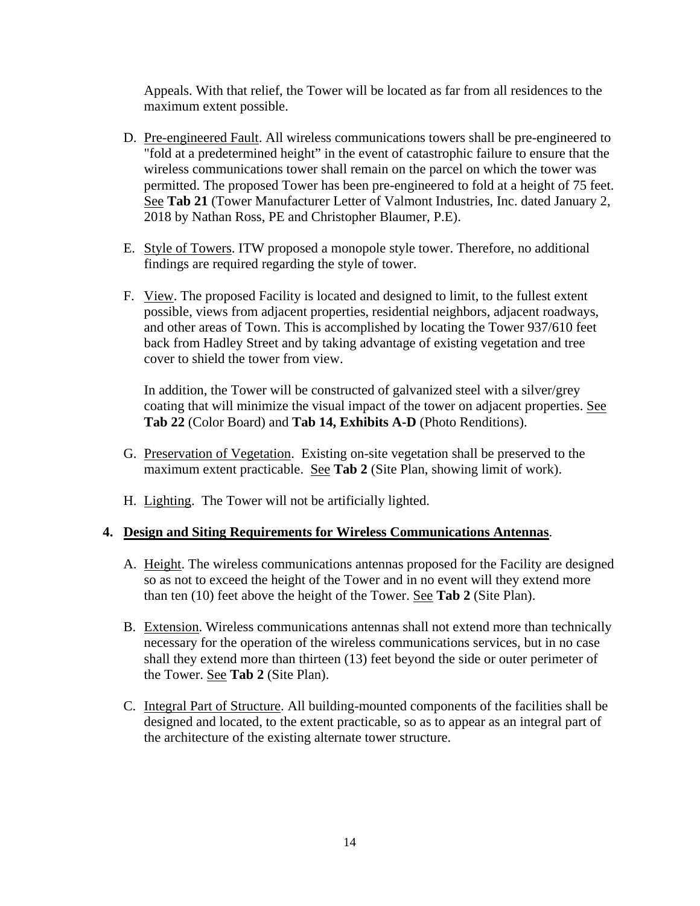Appeals. With that relief, the Tower will be located as far from all residences to the maximum extent possible.

- D. Pre-engineered Fault. All wireless communications towers shall be pre-engineered to "fold at a predetermined height" in the event of catastrophic failure to ensure that the wireless communications tower shall remain on the parcel on which the tower was permitted. The proposed Tower has been pre-engineered to fold at a height of 75 feet. See **Tab 21** (Tower Manufacturer Letter of Valmont Industries, Inc. dated January 2, 2018 by Nathan Ross, PE and Christopher Blaumer, P.E).
- E. Style of Towers. ITW proposed a monopole style tower. Therefore, no additional findings are required regarding the style of tower.
- F. View. The proposed Facility is located and designed to limit, to the fullest extent possible, views from adjacent properties, residential neighbors, adjacent roadways, and other areas of Town. This is accomplished by locating the Tower 937/610 feet back from Hadley Street and by taking advantage of existing vegetation and tree cover to shield the tower from view.

In addition, the Tower will be constructed of galvanized steel with a silver/grey coating that will minimize the visual impact of the tower on adjacent properties. See **Tab 22** (Color Board) and **Tab 14, Exhibits A-D** (Photo Renditions).

- G. Preservation of Vegetation. Existing on-site vegetation shall be preserved to the maximum extent practicable. See **Tab 2** (Site Plan, showing limit of work).
- H. Lighting. The Tower will not be artificially lighted.

### **4. Design and Siting Requirements for Wireless Communications Antennas**.

- A. Height. The wireless communications antennas proposed for the Facility are designed so as not to exceed the height of the Tower and in no event will they extend more than ten (10) feet above the height of the Tower. See **Tab 2** (Site Plan).
- B. Extension. Wireless communications antennas shall not extend more than technically necessary for the operation of the wireless communications services, but in no case shall they extend more than thirteen (13) feet beyond the side or outer perimeter of the Tower. See **Tab 2** (Site Plan).
- C. Integral Part of Structure. All building-mounted components of the facilities shall be designed and located, to the extent practicable, so as to appear as an integral part of the architecture of the existing alternate tower structure.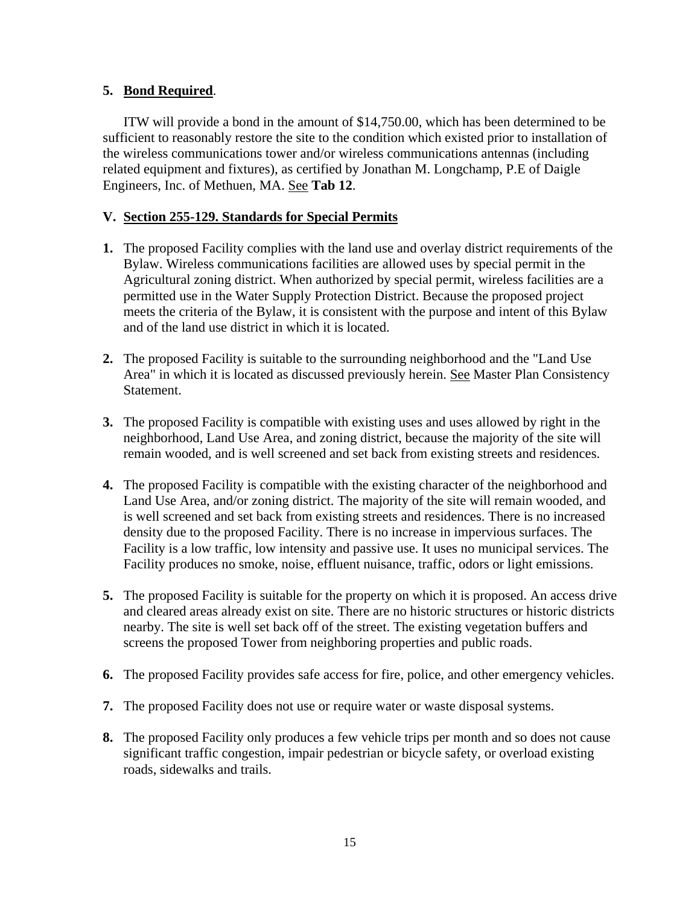# **5. Bond Required**.

ITW will provide a bond in the amount of \$14,750.00, which has been determined to be sufficient to reasonably restore the site to the condition which existed prior to installation of the wireless communications tower and/or wireless communications antennas (including related equipment and fixtures), as certified by Jonathan M. Longchamp, P.E of Daigle Engineers, Inc. of Methuen, MA. See **Tab 12**.

# **V. Section 255-129. Standards for Special Permits**

- **1.** The proposed Facility complies with the land use and overlay district requirements of the Bylaw. Wireless communications facilities are allowed uses by special permit in the Agricultural zoning district. When authorized by special permit, wireless facilities are a permitted use in the Water Supply Protection District. Because the proposed project meets the criteria of the Bylaw, it is consistent with the purpose and intent of this Bylaw and of the land use district in which it is located.
- **2.** The proposed Facility is suitable to the surrounding neighborhood and the "Land Use Area" in which it is located as discussed previously herein. See Master Plan Consistency Statement.
- **3.** The proposed Facility is compatible with existing uses and uses allowed by right in the neighborhood, Land Use Area, and zoning district, because the majority of the site will remain wooded, and is well screened and set back from existing streets and residences.
- **4.** The proposed Facility is compatible with the existing character of the neighborhood and Land Use Area, and/or zoning district. The majority of the site will remain wooded, and is well screened and set back from existing streets and residences. There is no increased density due to the proposed Facility. There is no increase in impervious surfaces. The Facility is a low traffic, low intensity and passive use. It uses no municipal services. The Facility produces no smoke, noise, effluent nuisance, traffic, odors or light emissions.
- **5.** The proposed Facility is suitable for the property on which it is proposed. An access drive and cleared areas already exist on site. There are no historic structures or historic districts nearby. The site is well set back off of the street. The existing vegetation buffers and screens the proposed Tower from neighboring properties and public roads.
- **6.** The proposed Facility provides safe access for fire, police, and other emergency vehicles.
- **7.** The proposed Facility does not use or require water or waste disposal systems.
- **8.** The proposed Facility only produces a few vehicle trips per month and so does not cause significant traffic congestion, impair pedestrian or bicycle safety, or overload existing roads, sidewalks and trails.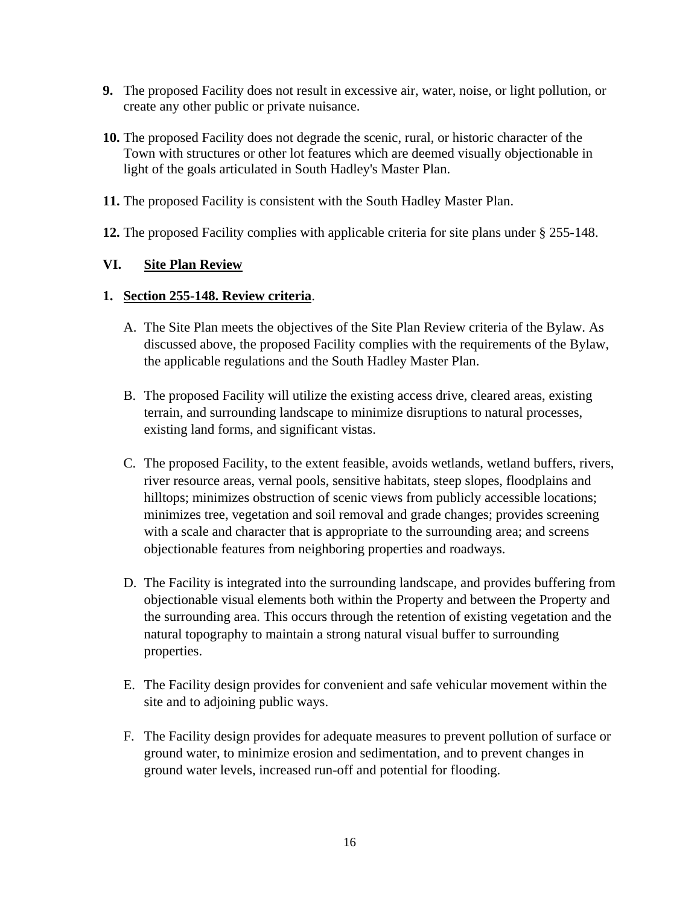- **9.** The proposed Facility does not result in excessive air, water, noise, or light pollution, or create any other public or private nuisance.
- **10.** The proposed Facility does not degrade the scenic, rural, or historic character of the Town with structures or other lot features which are deemed visually objectionable in light of the goals articulated in South Hadley's Master Plan.
- **11.** The proposed Facility is consistent with the South Hadley Master Plan.
- **12.** The proposed Facility complies with applicable criteria for site plans under § 255-148.

# **VI. Site Plan Review**

### **1. Section 255-148. Review criteria**.

- A. The Site Plan meets the objectives of the Site Plan Review criteria of the Bylaw. As discussed above, the proposed Facility complies with the requirements of the Bylaw, the applicable regulations and the South Hadley Master Plan.
- B. The proposed Facility will utilize the existing access drive, cleared areas, existing terrain, and surrounding landscape to minimize disruptions to natural processes, existing land forms, and significant vistas.
- C. The proposed Facility, to the extent feasible, avoids wetlands, wetland buffers, rivers, river resource areas, vernal pools, sensitive habitats, steep slopes, floodplains and hilltops; minimizes obstruction of scenic views from publicly accessible locations; minimizes tree, vegetation and soil removal and grade changes; provides screening with a scale and character that is appropriate to the surrounding area; and screens objectionable features from neighboring properties and roadways.
- D. The Facility is integrated into the surrounding landscape, and provides buffering from objectionable visual elements both within the Property and between the Property and the surrounding area. This occurs through the retention of existing vegetation and the natural topography to maintain a strong natural visual buffer to surrounding properties.
- E. The Facility design provides for convenient and safe vehicular movement within the site and to adjoining public ways.
- F. The Facility design provides for adequate measures to prevent pollution of surface or ground water, to minimize erosion and sedimentation, and to prevent changes in ground water levels, increased run-off and potential for flooding.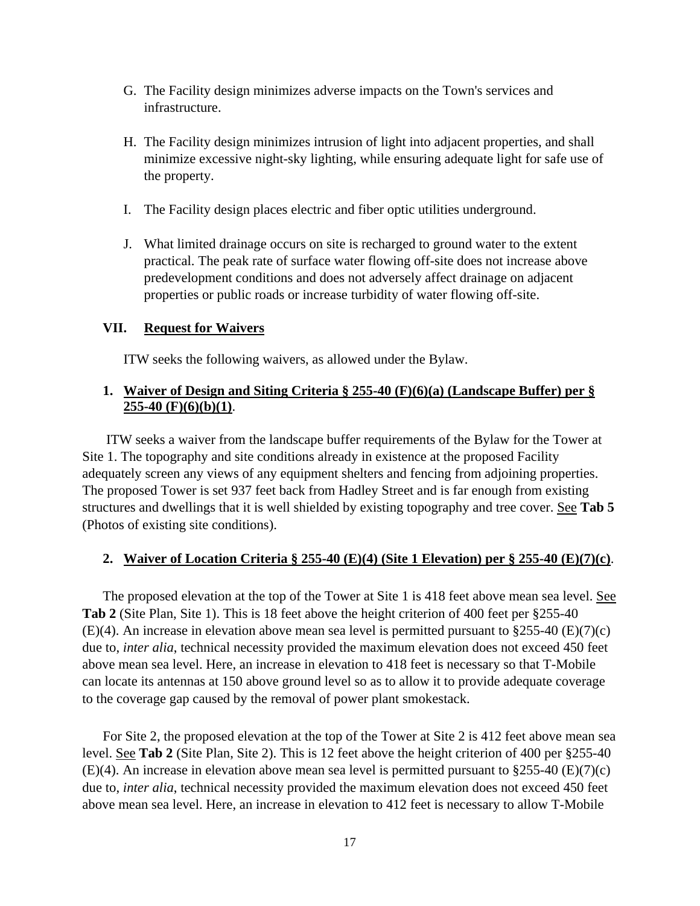- G. The Facility design minimizes adverse impacts on the Town's services and infrastructure.
- H. The Facility design minimizes intrusion of light into adjacent properties, and shall minimize excessive night-sky lighting, while ensuring adequate light for safe use of the property.
- I. The Facility design places electric and fiber optic utilities underground.
- J. What limited drainage occurs on site is recharged to ground water to the extent practical. The peak rate of surface water flowing off-site does not increase above predevelopment conditions and does not adversely affect drainage on adjacent properties or public roads or increase turbidity of water flowing off-site.

#### **VII. Request for Waivers**

ITW seeks the following waivers, as allowed under the Bylaw.

# **1. Waiver of Design and Siting Criteria § 255-40 (F)(6)(a) (Landscape Buffer) per § 255-40 (F)(6)(b)(1)**.

 ITW seeks a waiver from the landscape buffer requirements of the Bylaw for the Tower at Site 1. The topography and site conditions already in existence at the proposed Facility adequately screen any views of any equipment shelters and fencing from adjoining properties. The proposed Tower is set 937 feet back from Hadley Street and is far enough from existing structures and dwellings that it is well shielded by existing topography and tree cover. See **Tab 5** (Photos of existing site conditions).

### **2. Waiver of Location Criteria § 255-40 (E)(4) (Site 1 Elevation) per § 255-40 (E)(7)(c)**.

The proposed elevation at the top of the Tower at Site 1 is 418 feet above mean sea level. See **Tab 2** (Site Plan, Site 1). This is 18 feet above the height criterion of 400 feet per §255-40 (E)(4). An increase in elevation above mean sea level is permitted pursuant to §255-40 (E)(7)(c) due to, *inter alia*, technical necessity provided the maximum elevation does not exceed 450 feet above mean sea level. Here, an increase in elevation to 418 feet is necessary so that T-Mobile can locate its antennas at 150 above ground level so as to allow it to provide adequate coverage to the coverage gap caused by the removal of power plant smokestack.

For Site 2, the proposed elevation at the top of the Tower at Site 2 is 412 feet above mean sea level. See **Tab 2** (Site Plan, Site 2). This is 12 feet above the height criterion of 400 per §255-40  $(E)(4)$ . An increase in elevation above mean sea level is permitted pursuant to §255-40  $(E)(7)(c)$ due to, *inter alia*, technical necessity provided the maximum elevation does not exceed 450 feet above mean sea level. Here, an increase in elevation to 412 feet is necessary to allow T-Mobile